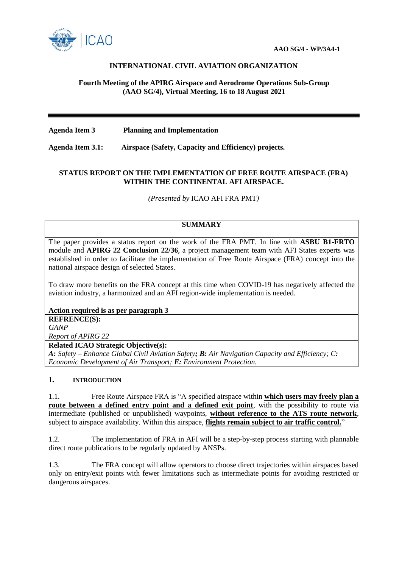

# **INTERNATIONAL CIVIL AVIATION ORGANIZATION**

### **Fourth Meeting of the APIRG Airspace and Aerodrome Operations Sub-Group (AAO SG/4), Virtual Meeting, 16 to 18 August 2021**

**Agenda Item 3 Planning and Implementation** 

**Agenda Item 3.1: Airspace (Safety, Capacity and Efficiency) projects.**

## **STATUS REPORT ON THE IMPLEMENTATION OF FREE ROUTE AIRSPACE (FRA) WITHIN THE CONTINENTAL AFI AIRSPACE.**

*(Presented by* ICAO AFI FRA PMT*)*

#### **SUMMARY**

The paper provides a status report on the work of the FRA PMT. In line with **ASBU B1-FRTO** module and **APIRG 22 Conclusion 22/36**, a project management team with AFI States experts was established in order to facilitate the implementation of Free Route Airspace (FRA) concept into the national airspace design of selected States.

To draw more benefits on the FRA concept at this time when COVID-19 has negatively affected the aviation industry, a harmonized and an AFI region-wide implementation is needed.

**Action required is as per paragraph 3** 

**REFRENCE(S):** *GANP Report of APIRG 22* 

**Related ICAO Strategic Objective(s):**

*A: Safety – Enhance Global Civil Aviation Safety; B: Air Navigation Capacity and Efficiency; C: Economic Development of Air Transport; E: Environment Protection.*

#### **1. INTRODUCTION**

1.1. Free Route Airspace FRA is "A specified airspace within **which users may freely plan a route between a defined entry point and a defined exit point**, with the possibility to route via intermediate (published or unpublished) waypoints, **without reference to the ATS route network**, subject to airspace availability. Within this airspace, **flights remain subject to air traffic control.**"

1.2. The implementation of FRA in AFI will be a step-by-step process starting with plannable direct route publications to be regularly updated by ANSPs.

1.3. The FRA concept will allow operators to choose direct trajectories within airspaces based only on entry/exit points with fewer limitations such as intermediate points for avoiding restricted or dangerous airspaces.